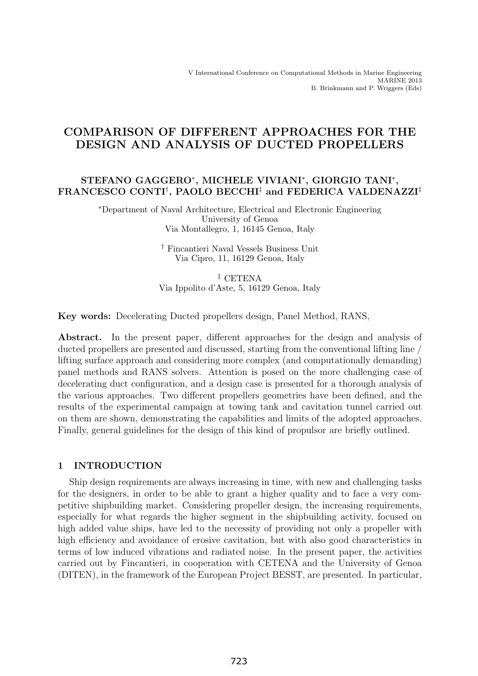# COMPARISON OF DIFFERENT APPROACHES FOR THE DESIGN AND ANALYSIS OF DUCTED PROPELLERS

# STEFANO GAGGERO∗, MICHELE VIVIANI∗, GIORGIO TANI∗, FRANCESCO CONTI† , PAOLO BECCHI‡ and FEDERICA VALDENAZZI‡

∗Department of Naval Architecture, Electrical and Electronic Engineering University of Genoa Via Montallegro, 1, 16145 Genoa, Italy

> † Fincantieri Naval Vessels Business Unit Via Cipro, 11, 16129 Genoa, Italy

‡ CETENA Via Ippolito d'Aste, 5, 16129 Genoa, Italy

Key words: Decelerating Ducted propellers design, Panel Method, RANS,

Abstract. In the present paper, different approaches for the design and analysis of ducted propellers are presented and discussed, starting from the conventional lifting line / lifting surface approach and considering more complex (and computationally demanding) panel methods and RANS solvers. Attention is posed on the more challenging case of decelerating duct configuration, and a design case is presented for a thorough analysis of the various approaches. Two different propellers geometries have been defined, and the results of the experimental campaign at towing tank and cavitation tunnel carried out on them are shown, demonstrating the capabilities and limits of the adopted approaches. Finally, general guidelines for the design of this kind of propulsor are briefly outlined.

# 1 INTRODUCTION

Ship design requirements are always increasing in time, with new and challenging tasks for the designers, in order to be able to grant a higher quality and to face a very competitive shipbuilding market. Considering propeller design, the increasing requirements, especially for what regards the higher segment in the shipbuilding activity, focused on high added value ships, have led to the necessity of providing not only a propeller with high efficiency and avoidance of erosive cavitation, but with also good characteristics in terms of low induced vibrations and radiated noise. In the present paper, the activities carried out by Fincantieri, in cooperation with CETENA and the University of Genoa (DITEN), in the framework of the European Project BESST, are presented. In particular,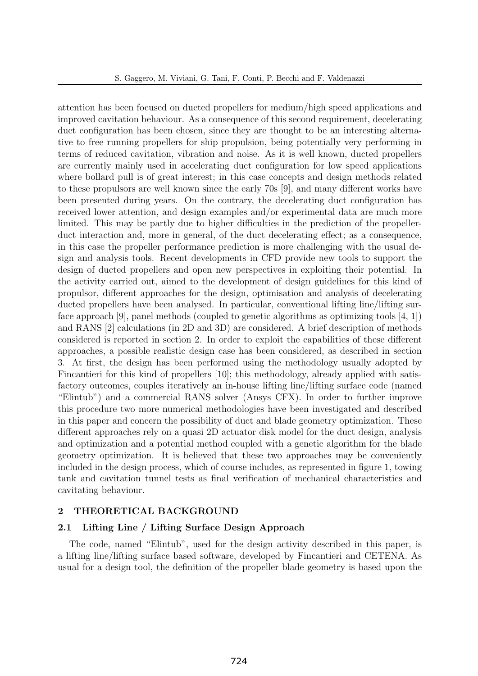attention has been focused on ducted propellers for medium/high speed applications and improved cavitation behaviour. As a consequence of this second requirement, decelerating duct configuration has been chosen, since they are thought to be an interesting alternative to free running propellers for ship propulsion, being potentially very performing in terms of reduced cavitation, vibration and noise. As it is well known, ducted propellers are currently mainly used in accelerating duct configuration for low speed applications where bollard pull is of great interest; in this case concepts and design methods related to these propulsors are well known since the early 70s [9], and many different works have been presented during years. On the contrary, the decelerating duct configuration has received lower attention, and design examples and/or experimental data are much more limited. This may be partly due to higher difficulties in the prediction of the propellerduct interaction and, more in general, of the duct decelerating effect; as a consequence, in this case the propeller performance prediction is more challenging with the usual design and analysis tools. Recent developments in CFD provide new tools to support the design of ducted propellers and open new perspectives in exploiting their potential. In the activity carried out, aimed to the development of design guidelines for this kind of propulsor, different approaches for the design, optimisation and analysis of decelerating ducted propellers have been analysed. In particular, conventional lifting line/lifting surface approach [9], panel methods (coupled to genetic algorithms as optimizing tools [4, 1]) and RANS [2] calculations (in 2D and 3D) are considered. A brief description of methods considered is reported in section 2. In order to exploit the capabilities of these different approaches, a possible realistic design case has been considered, as described in section 3. At first, the design has been performed using the methodology usually adopted by Fincantieri for this kind of propellers [10]; this methodology, already applied with satisfactory outcomes, couples iteratively an in-house lifting line/lifting surface code (named "Elintub") and a commercial RANS solver (Ansys CFX). In order to further improve this procedure two more numerical methodologies have been investigated and described in this paper and concern the possibility of duct and blade geometry optimization. These different approaches rely on a quasi 2D actuator disk model for the duct design, analysis and optimization and a potential method coupled with a genetic algorithm for the blade geometry optimization. It is believed that these two approaches may be conveniently included in the design process, which of course includes, as represented in figure 1, towing tank and cavitation tunnel tests as final verification of mechanical characteristics and cavitating behaviour.

## 2 THEORETICAL BACKGROUND

### 2.1 Lifting Line / Lifting Surface Design Approach

The code, named "Elintub", used for the design activity described in this paper, is a lifting line/lifting surface based software, developed by Fincantieri and CETENA. As usual for a design tool, the definition of the propeller blade geometry is based upon the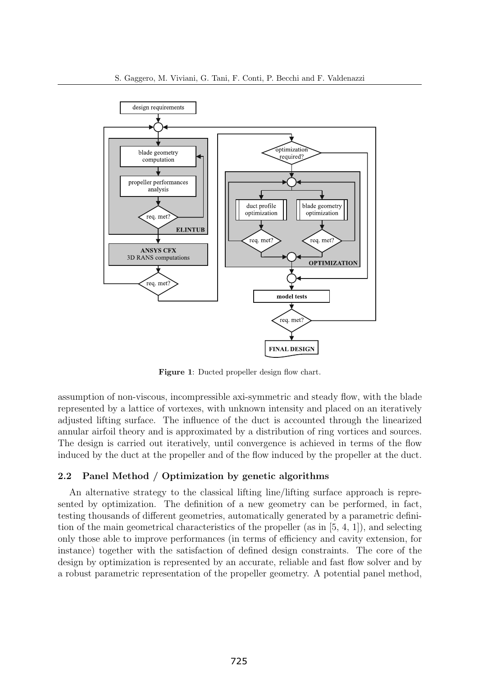

Figure 1: Ducted propeller design flow chart.

assumption of non-viscous, incompressible axi-symmetric and steady flow, with the blade represented by a lattice of vortexes, with unknown intensity and placed on an iteratively adjusted lifting surface. The influence of the duct is accounted through the linearized annular airfoil theory and is approximated by a distribution of ring vortices and sources. The design is carried out iteratively, until convergence is achieved in terms of the flow induced by the duct at the propeller and of the flow induced by the propeller at the duct.

# 2.2 Panel Method / Optimization by genetic algorithms

An alternative strategy to the classical lifting line/lifting surface approach is represented by optimization. The definition of a new geometry can be performed, in fact, testing thousands of different geometries, automatically generated by a parametric definition of the main geometrical characteristics of the propeller (as in  $[5, 4, 1]$ ), and selecting only those able to improve performances (in terms of efficiency and cavity extension, for instance) together with the satisfaction of defined design constraints. The core of the design by optimization is represented by an accurate, reliable and fast flow solver and by a robust parametric representation of the propeller geometry. A potential panel method,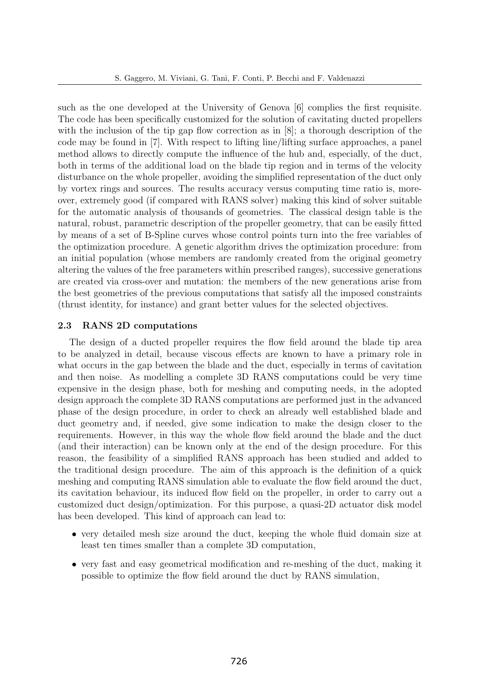such as the one developed at the University of Genova [6] complies the first requisite. The code has been specifically customized for the solution of cavitating ducted propellers with the inclusion of the tip gap flow correction as in [8]; a thorough description of the code may be found in [7]. With respect to lifting line/lifting surface approaches, a panel method allows to directly compute the influence of the hub and, especially, of the duct, both in terms of the additional load on the blade tip region and in terms of the velocity disturbance on the whole propeller, avoiding the simplified representation of the duct only by vortex rings and sources. The results accuracy versus computing time ratio is, moreover, extremely good (if compared with RANS solver) making this kind of solver suitable for the automatic analysis of thousands of geometries. The classical design table is the natural, robust, parametric description of the propeller geometry, that can be easily fitted by means of a set of B-Spline curves whose control points turn into the free variables of the optimization procedure. A genetic algorithm drives the optimization procedure: from an initial population (whose members are randomly created from the original geometry altering the values of the free parameters within prescribed ranges), successive generations are created via cross-over and mutation: the members of the new generations arise from the best geometries of the previous computations that satisfy all the imposed constraints (thrust identity, for instance) and grant better values for the selected objectives.

# 2.3 RANS 2D computations

The design of a ducted propeller requires the flow field around the blade tip area to be analyzed in detail, because viscous effects are known to have a primary role in what occurs in the gap between the blade and the duct, especially in terms of cavitation and then noise. As modelling a complete 3D RANS computations could be very time expensive in the design phase, both for meshing and computing needs, in the adopted design approach the complete 3D RANS computations are performed just in the advanced phase of the design procedure, in order to check an already well established blade and duct geometry and, if needed, give some indication to make the design closer to the requirements. However, in this way the whole flow field around the blade and the duct (and their interaction) can be known only at the end of the design procedure. For this reason, the feasibility of a simplified RANS approach has been studied and added to the traditional design procedure. The aim of this approach is the definition of a quick meshing and computing RANS simulation able to evaluate the flow field around the duct, its cavitation behaviour, its induced flow field on the propeller, in order to carry out a customized duct design/optimization. For this purpose, a quasi-2D actuator disk model has been developed. This kind of approach can lead to:

- very detailed mesh size around the duct, keeping the whole fluid domain size at least ten times smaller than a complete 3D computation,
- very fast and easy geometrical modification and re-meshing of the duct, making it possible to optimize the flow field around the duct by RANS simulation,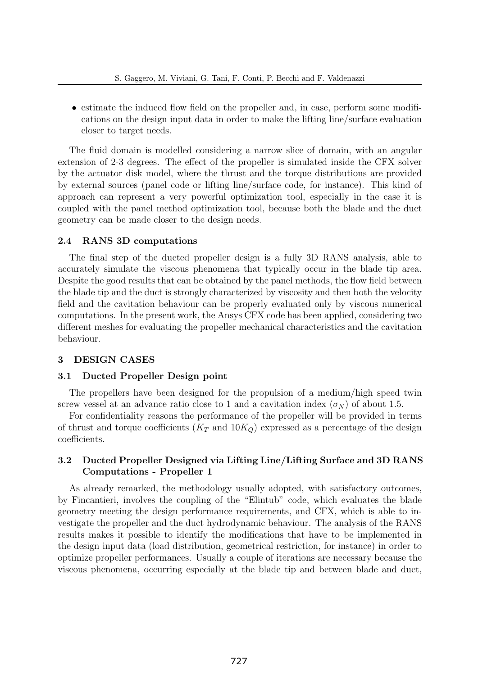• estimate the induced flow field on the propeller and, in case, perform some modifications on the design input data in order to make the lifting line/surface evaluation closer to target needs.

The fluid domain is modelled considering a narrow slice of domain, with an angular extension of 2-3 degrees. The effect of the propeller is simulated inside the CFX solver by the actuator disk model, where the thrust and the torque distributions are provided by external sources (panel code or lifting line/surface code, for instance). This kind of approach can represent a very powerful optimization tool, especially in the case it is coupled with the panel method optimization tool, because both the blade and the duct geometry can be made closer to the design needs.

## 2.4 RANS 3D computations

The final step of the ducted propeller design is a fully 3D RANS analysis, able to accurately simulate the viscous phenomena that typically occur in the blade tip area. Despite the good results that can be obtained by the panel methods, the flow field between the blade tip and the duct is strongly characterized by viscosity and then both the velocity field and the cavitation behaviour can be properly evaluated only by viscous numerical computations. In the present work, the Ansys CFX code has been applied, considering two different meshes for evaluating the propeller mechanical characteristics and the cavitation behaviour.

### 3 DESIGN CASES

### 3.1 Ducted Propeller Design point

The propellers have been designed for the propulsion of a medium/high speed twin screw vessel at an advance ratio close to 1 and a cavitation index  $(\sigma_N)$  of about 1.5.

For confidentiality reasons the performance of the propeller will be provided in terms of thrust and torque coefficients  $(K_T \text{ and } 10K_Q)$  expressed as a percentage of the design coefficients.

# 3.2 Ducted Propeller Designed via Lifting Line/Lifting Surface and 3D RANS Computations - Propeller 1

As already remarked, the methodology usually adopted, with satisfactory outcomes, by Fincantieri, involves the coupling of the "Elintub" code, which evaluates the blade geometry meeting the design performance requirements, and CFX, which is able to investigate the propeller and the duct hydrodynamic behaviour. The analysis of the RANS results makes it possible to identify the modifications that have to be implemented in the design input data (load distribution, geometrical restriction, for instance) in order to optimize propeller performances. Usually a couple of iterations are necessary because the viscous phenomena, occurring especially at the blade tip and between blade and duct,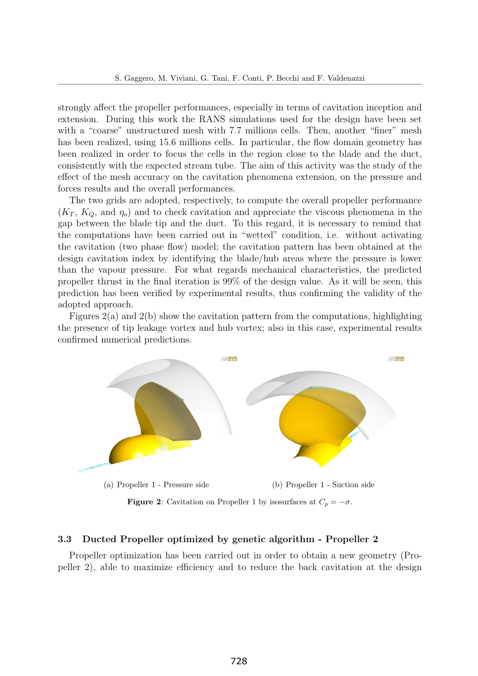strongly affect the propeller performances, especially in terms of cavitation inception and extension. During this work the RANS simulations used for the design have been set with a "coarse" unstructured mesh with 7.7 millions cells. Then, another "finer" mesh has been realized, using 15.6 millions cells. In particular, the flow domain geometry has been realized in order to focus the cells in the region close to the blade and the duct, consistently with the expected stream tube. The aim of this activity was the study of the effect of the mesh accuracy on the cavitation phenomena extension, on the pressure and forces results and the overall performances.

The two grids are adopted, respectively, to compute the overall propeller performance  $(K_T, K_Q, \text{ and } \eta_o)$  and to check cavitation and appreciate the viscous phenomena in the gap between the blade tip and the duct. To this regard, it is necessary to remind that the computations have been carried out in "wetted" condition, i.e. without activating the cavitation (two phase flow) model; the cavitation pattern has been obtained at the design cavitation index by identifying the blade/hub areas where the pressure is lower than the vapour pressure. For what regards mechanical characteristics, the predicted propeller thrust in the final iteration is 99% of the design value. As it will be seen, this prediction has been verified by experimental results, thus confirming the validity of the adopted approach.

Figures 2(a) and 2(b) show the cavitation pattern from the computations, highlighting the presence of tip leakage vortex and hub vortex; also in this case, experimental results confirmed numerical predictions.



**Figure 2:** Cavitation on Propeller 1 by isosurfaces at  $C_p = -\sigma$ .

### 3.3 Ducted Propeller optimized by genetic algorithm - Propeller 2

Propeller optimization has been carried out in order to obtain a new geometry (Propeller 2), able to maximize efficiency and to reduce the back cavitation at the design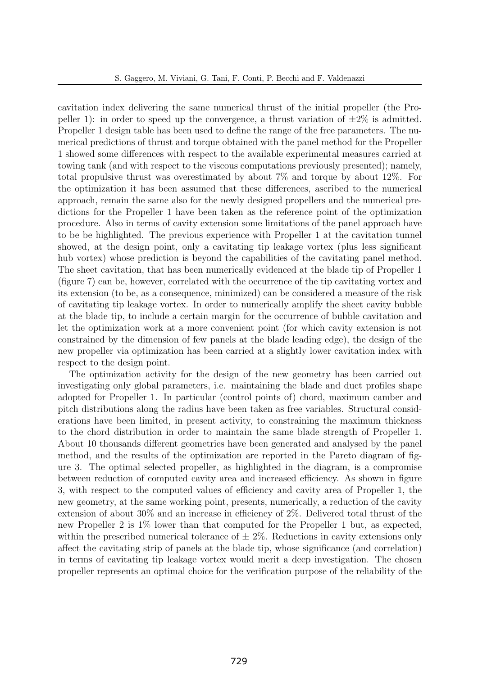cavitation index delivering the same numerical thrust of the initial propeller (the Propeller 1): in order to speed up the convergence, a thrust variation of  $\pm 2\%$  is admitted. Propeller 1 design table has been used to define the range of the free parameters. The numerical predictions of thrust and torque obtained with the panel method for the Propeller 1 showed some differences with respect to the available experimental measures carried at towing tank (and with respect to the viscous computations previously presented); namely, total propulsive thrust was overestimated by about 7% and torque by about 12%. For the optimization it has been assumed that these differences, ascribed to the numerical approach, remain the same also for the newly designed propellers and the numerical predictions for the Propeller 1 have been taken as the reference point of the optimization procedure. Also in terms of cavity extension some limitations of the panel approach have to be be highlighted. The previous experience with Propeller 1 at the cavitation tunnel showed, at the design point, only a cavitating tip leakage vortex (plus less significant hub vortex) whose prediction is beyond the capabilities of the cavitating panel method. The sheet cavitation, that has been numerically evidenced at the blade tip of Propeller 1 (figure 7) can be, however, correlated with the occurrence of the tip cavitating vortex and its extension (to be, as a consequence, minimized) can be considered a measure of the risk of cavitating tip leakage vortex. In order to numerically amplify the sheet cavity bubble at the blade tip, to include a certain margin for the occurrence of bubble cavitation and let the optimization work at a more convenient point (for which cavity extension is not constrained by the dimension of few panels at the blade leading edge), the design of the new propeller via optimization has been carried at a slightly lower cavitation index with respect to the design point.

The optimization activity for the design of the new geometry has been carried out investigating only global parameters, i.e. maintaining the blade and duct profiles shape adopted for Propeller 1. In particular (control points of) chord, maximum camber and pitch distributions along the radius have been taken as free variables. Structural considerations have been limited, in present activity, to constraining the maximum thickness to the chord distribution in order to maintain the same blade strength of Propeller 1. About 10 thousands different geometries have been generated and analysed by the panel method, and the results of the optimization are reported in the Pareto diagram of figure 3. The optimal selected propeller, as highlighted in the diagram, is a compromise between reduction of computed cavity area and increased efficiency. As shown in figure 3, with respect to the computed values of efficiency and cavity area of Propeller 1, the new geometry, at the same working point, presents, numerically, a reduction of the cavity extension of about 30% and an increase in efficiency of 2%. Delivered total thrust of the new Propeller 2 is 1% lower than that computed for the Propeller 1 but, as expected, within the prescribed numerical tolerance of  $\pm 2\%$ . Reductions in cavity extensions only affect the cavitating strip of panels at the blade tip, whose significance (and correlation) in terms of cavitating tip leakage vortex would merit a deep investigation. The chosen propeller represents an optimal choice for the verification purpose of the reliability of the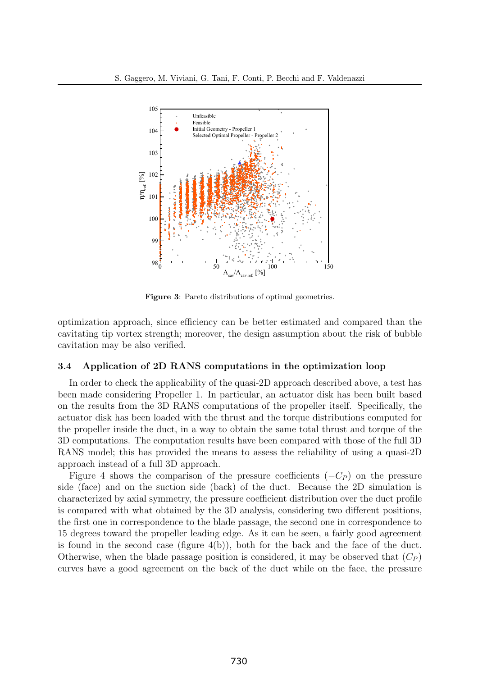

Figure 3: Pareto distributions of optimal geometries.

optimization approach, since efficiency can be better estimated and compared than the cavitating tip vortex strength; moreover, the design assumption about the risk of bubble cavitation may be also verified.

### 3.4 Application of 2D RANS computations in the optimization loop

In order to check the applicability of the quasi-2D approach described above, a test has been made considering Propeller 1. In particular, an actuator disk has been built based on the results from the 3D RANS computations of the propeller itself. Specifically, the actuator disk has been loaded with the thrust and the torque distributions computed for the propeller inside the duct, in a way to obtain the same total thrust and torque of the 3D computations. The computation results have been compared with those of the full 3D RANS model; this has provided the means to assess the reliability of using a quasi-2D approach instead of a full 3D approach.

Figure 4 shows the comparison of the pressure coefficients  $(-C_P)$  on the pressure side (face) and on the suction side (back) of the duct. Because the 2D simulation is characterized by axial symmetry, the pressure coefficient distribution over the duct profile is compared with what obtained by the 3D analysis, considering two different positions, the first one in correspondence to the blade passage, the second one in correspondence to 15 degrees toward the propeller leading edge. As it can be seen, a fairly good agreement is found in the second case (figure  $4(b)$ ), both for the back and the face of the duct. Otherwise, when the blade passage position is considered, it may be observed that  $(C_P)$ curves have a good agreement on the back of the duct while on the face, the pressure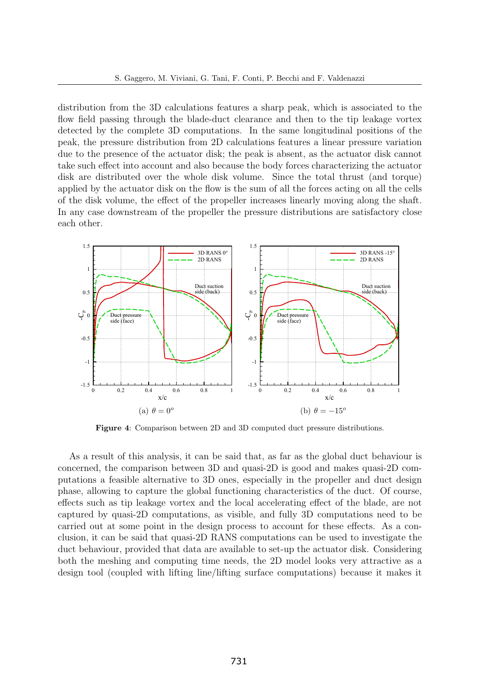distribution from the 3D calculations features a sharp peak, which is associated to the flow field passing through the blade-duct clearance and then to the tip leakage vortex detected by the complete 3D computations. In the same longitudinal positions of the peak, the pressure distribution from 2D calculations features a linear pressure variation due to the presence of the actuator disk; the peak is absent, as the actuator disk cannot take such effect into account and also because the body forces characterizing the actuator disk are distributed over the whole disk volume. Since the total thrust (and torque) applied by the actuator disk on the flow is the sum of all the forces acting on all the cells of the disk volume, the effect of the propeller increases linearly moving along the shaft. In any case downstream of the propeller the pressure distributions are satisfactory close each other.



Figure 4: Comparison between 2D and 3D computed duct pressure distributions.

As a result of this analysis, it can be said that, as far as the global duct behaviour is concerned, the comparison between 3D and quasi-2D is good and makes quasi-2D computations a feasible alternative to 3D ones, especially in the propeller and duct design phase, allowing to capture the global functioning characteristics of the duct. Of course, effects such as tip leakage vortex and the local accelerating effect of the blade, are not captured by quasi-2D computations, as visible, and fully 3D computations need to be carried out at some point in the design process to account for these effects. As a conclusion, it can be said that quasi-2D RANS computations can be used to investigate the duct behaviour, provided that data are available to set-up the actuator disk. Considering both the meshing and computing time needs, the 2D model looks very attractive as a design tool (coupled with lifting line/lifting surface computations) because it makes it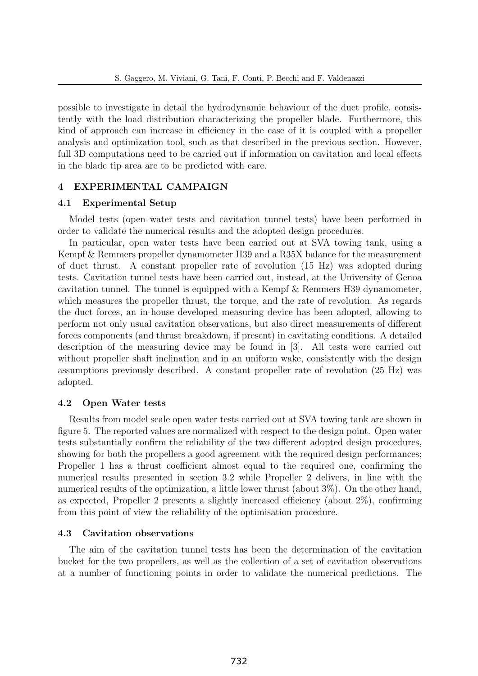possible to investigate in detail the hydrodynamic behaviour of the duct profile, consistently with the load distribution characterizing the propeller blade. Furthermore, this kind of approach can increase in efficiency in the case of it is coupled with a propeller analysis and optimization tool, such as that described in the previous section. However, full 3D computations need to be carried out if information on cavitation and local effects in the blade tip area are to be predicted with care.

### 4 EXPERIMENTAL CAMPAIGN

### 4.1 Experimental Setup

Model tests (open water tests and cavitation tunnel tests) have been performed in order to validate the numerical results and the adopted design procedures.

In particular, open water tests have been carried out at SVA towing tank, using a Kempf & Remmers propeller dynamometer H39 and a R35X balance for the measurement of duct thrust. A constant propeller rate of revolution (15 Hz) was adopted during tests. Cavitation tunnel tests have been carried out, instead, at the University of Genoa cavitation tunnel. The tunnel is equipped with a Kempf & Remmers H39 dynamometer, which measures the propeller thrust, the torque, and the rate of revolution. As regards the duct forces, an in-house developed measuring device has been adopted, allowing to perform not only usual cavitation observations, but also direct measurements of different forces components (and thrust breakdown, if present) in cavitating conditions. A detailed description of the measuring device may be found in [3]. All tests were carried out without propeller shaft inclination and in an uniform wake, consistently with the design assumptions previously described. A constant propeller rate of revolution (25 Hz) was adopted.

## 4.2 Open Water tests

Results from model scale open water tests carried out at SVA towing tank are shown in figure 5. The reported values are normalized with respect to the design point. Open water tests substantially confirm the reliability of the two different adopted design procedures, showing for both the propellers a good agreement with the required design performances; Propeller 1 has a thrust coefficient almost equal to the required one, confirming the numerical results presented in section 3.2 while Propeller 2 delivers, in line with the numerical results of the optimization, a little lower thrust (about 3%). On the other hand, as expected, Propeller 2 presents a slightly increased efficiency (about 2%), confirming from this point of view the reliability of the optimisation procedure.

### 4.3 Cavitation observations

The aim of the cavitation tunnel tests has been the determination of the cavitation bucket for the two propellers, as well as the collection of a set of cavitation observations at a number of functioning points in order to validate the numerical predictions. The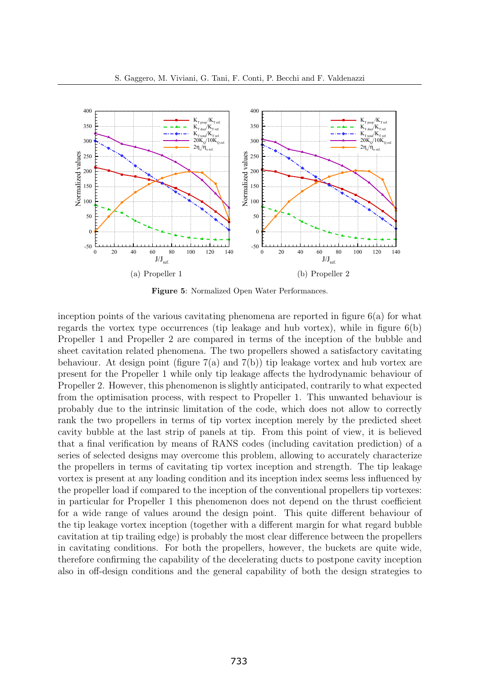

Figure 5: Normalized Open Water Performances.

inception points of the various cavitating phenomena are reported in figure  $6(a)$  for what regards the vortex type occurrences (tip leakage and hub vortex), while in figure  $6(b)$ Propeller 1 and Propeller 2 are compared in terms of the inception of the bubble and sheet cavitation related phenomena. The two propellers showed a satisfactory cavitating behaviour. At design point (figure  $7(a)$  and  $7(b)$ ) tip leakage vortex and hub vortex are present for the Propeller 1 while only tip leakage affects the hydrodynamic behaviour of Propeller 2. However, this phenomenon is slightly anticipated, contrarily to what expected from the optimisation process, with respect to Propeller 1. This unwanted behaviour is probably due to the intrinsic limitation of the code, which does not allow to correctly rank the two propellers in terms of tip vortex inception merely by the predicted sheet cavity bubble at the last strip of panels at tip. From this point of view, it is believed that a final verification by means of RANS codes (including cavitation prediction) of a series of selected designs may overcome this problem, allowing to accurately characterize the propellers in terms of cavitating tip vortex inception and strength. The tip leakage vortex is present at any loading condition and its inception index seems less influenced by the propeller load if compared to the inception of the conventional propellers tip vortexes: in particular for Propeller 1 this phenomenon does not depend on the thrust coefficient for a wide range of values around the design point. This quite different behaviour of the tip leakage vortex inception (together with a different margin for what regard bubble cavitation at tip trailing edge) is probably the most clear difference between the propellers in cavitating conditions. For both the propellers, however, the buckets are quite wide, therefore confirming the capability of the decelerating ducts to postpone cavity inception also in off-design conditions and the general capability of both the design strategies to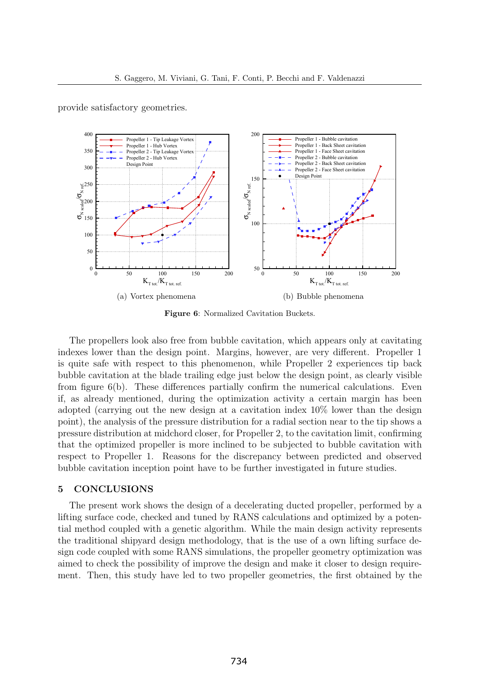provide satisfactory geometries.



Figure 6: Normalized Cavitation Buckets.

The propellers look also free from bubble cavitation, which appears only at cavitating indexes lower than the design point. Margins, however, are very different. Propeller 1 is quite safe with respect to this phenomenon, while Propeller 2 experiences tip back bubble cavitation at the blade trailing edge just below the design point, as clearly visible from figure 6(b). These differences partially confirm the numerical calculations. Even if, as already mentioned, during the optimization activity a certain margin has been adopted (carrying out the new design at a cavitation index 10% lower than the design point), the analysis of the pressure distribution for a radial section near to the tip shows a pressure distribution at midchord closer, for Propeller 2, to the cavitation limit, confirming that the optimized propeller is more inclined to be subjected to bubble cavitation with respect to Propeller 1. Reasons for the discrepancy between predicted and observed bubble cavitation inception point have to be further investigated in future studies.

### 5 CONCLUSIONS

The present work shows the design of a decelerating ducted propeller, performed by a lifting surface code, checked and tuned by RANS calculations and optimized by a potential method coupled with a genetic algorithm. While the main design activity represents the traditional shipyard design methodology, that is the use of a own lifting surface design code coupled with some RANS simulations, the propeller geometry optimization was aimed to check the possibility of improve the design and make it closer to design requirement. Then, this study have led to two propeller geometries, the first obtained by the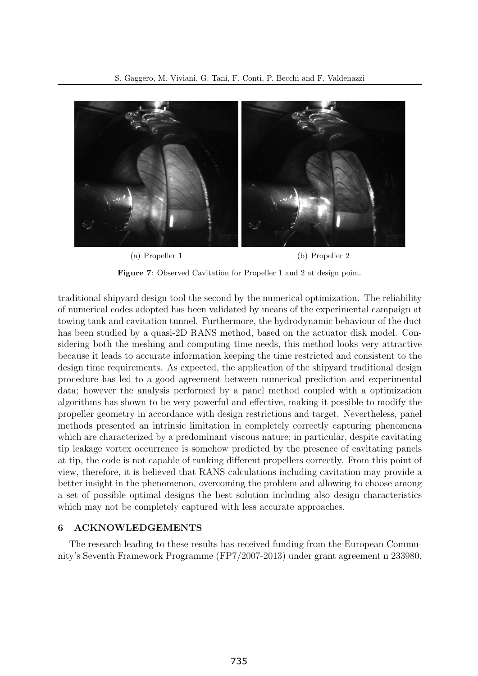

Figure 7: Observed Cavitation for Propeller 1 and 2 at design point.

traditional shipyard design tool the second by the numerical optimization. The reliability of numerical codes adopted has been validated by means of the experimental campaign at towing tank and cavitation tunnel. Furthermore, the hydrodynamic behaviour of the duct has been studied by a quasi-2D RANS method, based on the actuator disk model. Considering both the meshing and computing time needs, this method looks very attractive because it leads to accurate information keeping the time restricted and consistent to the design time requirements. As expected, the application of the shipyard traditional design procedure has led to a good agreement between numerical prediction and experimental data; however the analysis performed by a panel method coupled with a optimization algorithms has shown to be very powerful and effective, making it possible to modify the propeller geometry in accordance with design restrictions and target. Nevertheless, panel methods presented an intrinsic limitation in completely correctly capturing phenomena which are characterized by a predominant viscous nature; in particular, despite cavitating tip leakage vortex occurrence is somehow predicted by the presence of cavitating panels at tip, the code is not capable of ranking different propellers correctly. From this point of view, therefore, it is believed that RANS calculations including cavitation may provide a better insight in the phenomenon, overcoming the problem and allowing to choose among a set of possible optimal designs the best solution including also design characteristics which may not be completely captured with less accurate approaches.

### 6 ACKNOWLEDGEMENTS

The research leading to these results has received funding from the European Community's Seventh Framework Programme (FP7/2007-2013) under grant agreement n 233980.